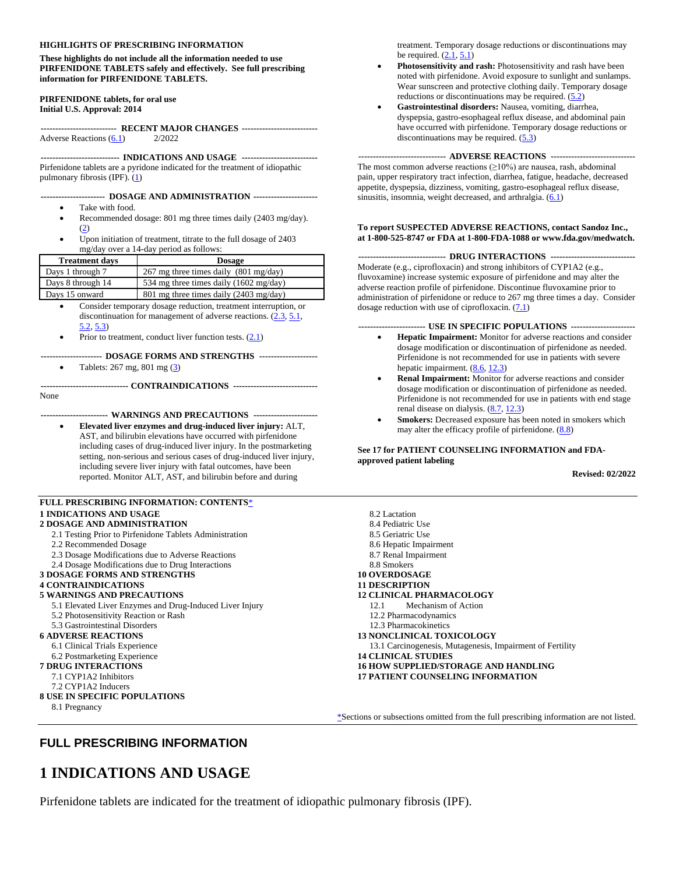#### **HIGHLIGHTS OF PRESCRIBING INFORMATION**

#### **These highlights do not include all the information needed to use PIRFENIDONE TABLETS safely and effectively. See full prescribing information for PIRFENIDONE TABLETS.**

#### **PIRFENIDONE tablets, for oral use Initial U.S. Approval: 2014**

**-------------------------- RECENT MAJOR CHANGES --------------------------** Adverse Reactions [\(6.1\)](#page-3-0) 2/2022

**--------------------------- INDICATIONS AND USAGE --------------------------** Pirfenidone tablets are a pyridone indicated for the treatment of idiopathic pulmonary fibrosis (IPF). [\(1\)](#page-0-0)

#### **---------------------- DOSAGE AND ADMINISTRATION ----------------------**

- Take with food.
- Recommended dosage: 801 mg three times daily (2403 mg/day). [\(2\)](#page-0-0)
- Upon initiation of treatment, titrate to the full dosage of 2403 mg/day over a 14-day period as follows:

| <b>Treatment days</b> | <b>Dosage</b>                                    |
|-----------------------|--------------------------------------------------|
| Days 1 through 7      | 267 mg three times daily $(801 \text{ mg/day})$  |
| Days 8 through 14     | 534 mg three times daily $(1602 \text{ mg/day})$ |
| Days 15 onward        | 801 mg three times daily (2403 mg/day)           |

- Consider temporary dosage reduction, treatment interruption, or discontinuation for management of adverse reactions.  $(2.3, 5.1, 1)$  $(2.3, 5.1, 1)$  $(2.3, 5.1, 1)$ [5.2,](#page-2-1) [5.3\)](#page-2-2)
- Prior to treatment, conduct liver function tests.  $(2.1)$

#### **--------------------- DOSAGE FORMS AND STRENGTHS --------------------**

• Tablets: 267 mg, 801 mg [\(3\)](#page-2-3)

**------------------------------ CONTRAINDICATIONS -----------------------------** None

**----------------------- WARNINGS AND PRECAUTIONS ----------------------**

• **Elevated liver enzymes and drug-induced liver injury:** ALT, AST, and bilirubin elevations have occurred with pirfenidone including cases of drug-induced liver injury. In the postmarketing setting, non-serious and serious cases of drug-induced liver injury, including severe liver injury with fatal outcomes, have been reported. Monitor ALT, AST, and bilirubin before and during

#### <span id="page-0-2"></span>**FULL PRESCRIBING INFORMATION: CONTENTS**[\\*](#page-0-1) **[1 INDICATIONS AND USAGE](#page-0-0)**

#### **[2 DOSAGE AND ADMINISTRATION](#page-1-2)**

- [2.1 Testing Prior to Pirfenidone Tablets Administration](#page-1-1)
- [2.2 Recommended Dosage](#page-1-3)
- [2.3 Dosage Modifications due to Adverse Reactions](#page-1-0)
- [2.4 Dosage Modifications](#page-2-4) due to Drug Interactions

#### **[3 DOSAGE FORMS AND STRENGTHS](#page-2-3)**

#### **[4 CONTRAINDICATIONS](#page-2-5)**

#### **[5 WARNINGS AND PRECAUTIONS](#page-2-6)**

- [5.1 Elevated Liver Enzymes and Drug-Induced Liver Injury](#page-2-0)
- [5.2 Photosensitivity Reaction or Rash](#page-2-1)

### [5.3 Gastrointestinal Disorders](#page-2-2)

- **[6 ADVERSE REACTIONS](#page-3-1)**
- [6.1 Clinical Trials Experience](#page-3-0) [6.2 Postmarketing Experience](#page-4-1)
- **[7 DRUG INTERACTIONS](#page-4-2)**

### [7.1 CYP1A2 Inhibitors](#page-4-0)

- [7.2 CYP1A2 Inducers](#page-5-0)
- <span id="page-0-1"></span>**[8 USE IN SPECIFIC POPULATIONS](#page-5-1)**
	- [8.1 Pregnancy](#page-5-2)

treatment. Temporary dosage reductions or discontinuations may be required.  $(2.1, 5.1)$  $(2.1, 5.1)$ 

- **Photosensitivity and rash:** Photosensitivity and rash have been noted with pirfenidone. Avoid exposure to sunlight and sunlamps. Wear sunscreen and protective clothing daily. Temporary dosage reductions or discontinuations may be required. [\(5.2\)](#page-2-1)
- **Gastrointestinal disorders:** Nausea, vomiting, diarrhea, dyspepsia, gastro-esophageal reflux disease, and abdominal pain have occurred with pirfenidone. Temporary dosage reductions or discontinuations may be required.  $(5.3)$

#### **------------------------------ ADVERSE REACTIONS -----------------------------**

The most common adverse reactions  $(\geq 10\%)$  are nausea, rash, abdominal pain, upper respiratory tract infection, diarrhea, fatigue, headache, decreased appetite, dyspepsia, dizziness, vomiting, gastro-esophageal reflux disease, sinusitis, insomnia, weight decreased, and arthralgia. [\(6.1\)](#page-3-0)

#### **To report SUSPECTED ADVERSE REACTIONS, contact Sandoz Inc., at 1-800-525-8747 or FDA at 1-800-FDA-1088 or www.fda.gov/medwatch.**

#### **------------------------------ DRUG INTERACTIONS -----------------------------**

Moderate (e.g., ciprofloxacin) and strong inhibitors of CYP1A2 (e.g., fluvoxamine) increase systemic exposure of pirfenidone and may alter the adverse reaction profile of pirfenidone. Discontinue fluvoxamine prior to administration of pirfenidone or reduce to 267 mg three times a day. Consider dosage reduction with use of ciprofloxacin.  $(7.1)$ 

#### **----------------------- USE IN SPECIFIC POPULATIONS ----------------------**

- **Hepatic Impairment:** Monitor for adverse reactions and consider dosage modification or discontinuation of pirfenidone as needed. Pirfenidone is not recommended for use in patients with severe hepatic impairment. [\(8.6,](#page-6-0) [12.3\)](#page-7-0)
- **Renal Impairment:** Monitor for adverse reactions and consider dosage modification or discontinuation of pirfenidone as needed. Pirfenidone is not recommended for use in patients with end stage renal disease on dialysis.  $(8.7, 12.3)$  $(8.7, 12.3)$
- Smokers: Decreased exposure has been noted in smokers which may alter the efficacy profile of pirfenidone.  $(8.8)$

#### **See 17 for PATIENT COUNSELING INFORMATION and FDAapproved patient labeling**

**Revised: 02/2022**

| 8.2 Lactation                                             |
|-----------------------------------------------------------|
| 8.4 Pediatric Use                                         |
| 8.5 Geriatric Use                                         |
| 8.6 Hepatic Impairment                                    |
| 8.7 Renal Impairment                                      |
| 8.8 Smokers                                               |
| <b>10 OVERDOSAGE</b>                                      |
| <b>11 DESCRIPTION</b>                                     |
| <b>12 CLINICAL PHARMACOLOGY</b>                           |
| Mechanism of Action<br>12.1                               |
| 12.2 Pharmacodynamics                                     |
| 12.3 Pharmacokinetics                                     |
| 13 NONCLINICAL TOXICOLOGY                                 |
| 13.1 Carcinogenesis, Mutagenesis, Impairment of Fertility |
| <b>14 CLINICAL STUDIES</b>                                |
| 16 HOW SUPPLIED/STORAGE AND HANDLING                      |
| 17 PATIENT COUNSELING INFORMATION                         |
|                                                           |
|                                                           |

[\\*S](#page-0-2)ections or subsections omitted from the full prescribing information are not listed.

### **FULL PRESCRIBING INFORMATION**

# <span id="page-0-0"></span>**1 INDICATIONS AND USAGE**

Pirfenidone tablets are indicated for the treatment of idiopathic pulmonary fibrosis (IPF).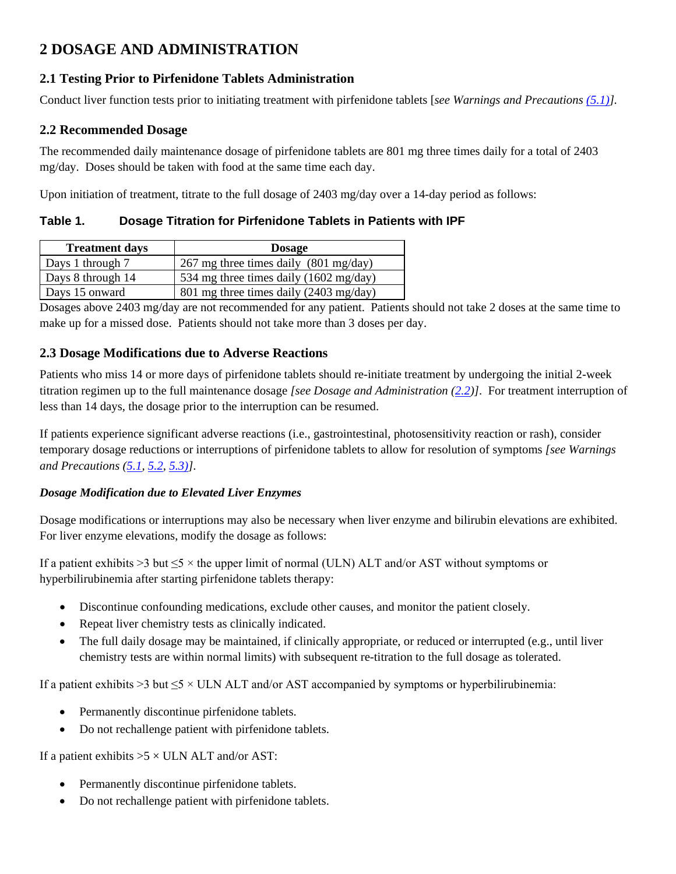# <span id="page-1-2"></span>**2 DOSAGE AND ADMINISTRATION**

# <span id="page-1-1"></span>**2.1 Testing Prior to Pirfenidone Tablets Administration**

Conduct liver function tests prior to initiating treatment with pirfenidone tablets [*see [Warnings and Precautions \(5.1\)\]](#page-2-0).*

# <span id="page-1-3"></span>**2.2 Recommended Dosage**

The recommended daily maintenance dosage of pirfenidone tablets are 801 mg three times daily for a total of 2403 mg/day. Doses should be taken with food at the same time each day.

Upon initiation of treatment, titrate to the full dosage of 2403 mg/day over a 14-day period as follows:

**Table 1. Dosage Titration for Pirfenidone Tablets in Patients with IPF**

| <b>Treatment days</b> | <b>Dosage</b>                                   |  |
|-----------------------|-------------------------------------------------|--|
| Days 1 through 7      | 267 mg three times daily $(801 \text{ mg/day})$ |  |
| Days 8 through 14     | 534 mg three times daily (1602 mg/day)          |  |
| Days 15 onward        | 801 mg three times daily (2403 mg/day)          |  |

Dosages above 2403 mg/day are not recommended for any patient. Patients should not take 2 doses at the same time to make up for a missed dose. Patients should not take more than 3 doses per day.

# <span id="page-1-0"></span>**2.3 Dosage Modifications due to Adverse Reactions**

Patients who miss 14 or more days of pirfenidone tablets should re-initiate treatment by undergoing the initial 2-week titration regimen up to the full maintenance dosage *[see Dosage and Administration [\(2.2\)](#page-1-3)]*. For treatment interruption of less than 14 days, the dosage prior to the interruption can be resumed.

If patients experience significant adverse reactions (i.e., gastrointestinal, photosensitivity reaction or rash), consider temporary dosage reductions or interruptions of pirfenidone tablets to allow for resolution of symptoms *[see Warnings and Precautions [\(5.1,](#page-2-0) [5.2,](#page-2-1) [5.3\)\]](#page-2-2)*.

# *Dosage Modification due to Elevated Liver Enzymes*

Dosage modifications or interruptions may also be necessary when liver enzyme and bilirubin elevations are exhibited. For liver enzyme elevations, modify the dosage as follows:

If a patient exhibits >3 but  $\leq 5 \times$  the upper limit of normal (ULN) ALT and/or AST without symptoms or hyperbilirubinemia after starting pirfenidone tablets therapy:

- Discontinue confounding medications, exclude other causes, and monitor the patient closely.
- Repeat liver chemistry tests as clinically indicated.
- The full daily dosage may be maintained, if clinically appropriate, or reduced or interrupted (e.g., until liver chemistry tests are within normal limits) with subsequent re-titration to the full dosage as tolerated.

If a patient exhibits  $>3$  but  $\leq$  × ULN ALT and/or AST accompanied by symptoms or hyperbilirubinemia:

- Permanently discontinue pirfenidone tablets.
- Do not rechallenge patient with pirfenidone tablets.

If a patient exhibits  $>5 \times$  ULN ALT and/or AST:

- Permanently discontinue pirfenidone tablets.
- Do not rechallenge patient with pirfenidone tablets.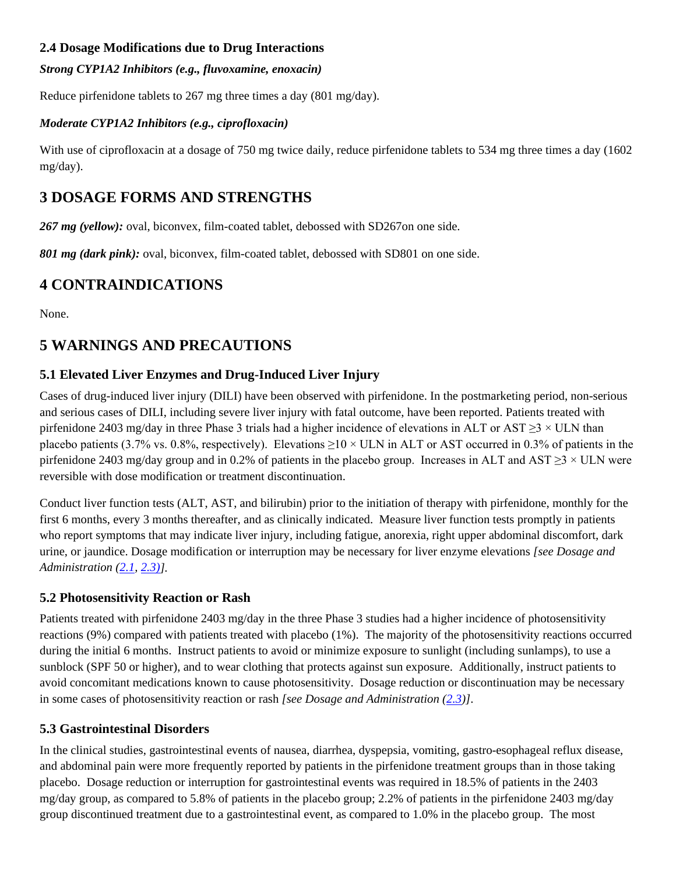# <span id="page-2-4"></span>**2.4 Dosage Modifications due to Drug Interactions**

### *Strong CYP1A2 Inhibitors (e.g., fluvoxamine, enoxacin)*

Reduce pirfenidone tablets to 267 mg three times a day (801 mg/day).

### *Moderate CYP1A2 Inhibitors (e.g., ciprofloxacin)*

With use of ciprofloxacin at a dosage of 750 mg twice daily, reduce pirfenidone tablets to 534 mg three times a day (1602) mg/day).

# <span id="page-2-3"></span>**3 DOSAGE FORMS AND STRENGTHS**

267 mg (yellow): oval, biconvex, film-coated tablet, debossed with SD267on one side.

*801 mg (dark pink):* oval, biconvex, film-coated tablet, debossed with SD801 on one side.

# <span id="page-2-5"></span>**4 CONTRAINDICATIONS**

None.

# <span id="page-2-6"></span>**5 WARNINGS AND PRECAUTIONS**

# <span id="page-2-0"></span>**5.1 Elevated Liver Enzymes and Drug-Induced Liver Injury**

Cases of drug-induced liver injury (DILI) have been observed with pirfenidone. In the postmarketing period, non-serious and serious cases of DILI, including severe liver injury with fatal outcome, have been reported. Patients treated with pirfenidone 2403 mg/day in three Phase 3 trials had a higher incidence of elevations in ALT or AST  $\geq$ 3 × ULN than placebo patients (3.7% vs. 0.8%, respectively). Elevations  $>10 \times$  ULN in ALT or AST occurred in 0.3% of patients in the pirfenidone 2403 mg/day group and in 0.2% of patients in the placebo group. Increases in ALT and AST  $\geq$ 3 × ULN were reversible with dose modification or treatment discontinuation.

Conduct liver function tests (ALT, AST, and bilirubin) prior to the initiation of therapy with pirfenidone, monthly for the first 6 months, every 3 months thereafter, and as clinically indicated. Measure liver function tests promptly in patients who report symptoms that may indicate liver injury, including fatigue, anorexia, right upper abdominal discomfort, dark urine, or jaundice. Dosage modification or interruption may be necessary for liver enzyme elevations *[see Dosage and Administration [\(2.1,](#page-1-1) [2.3\)\]](#page-1-0).*

# <span id="page-2-1"></span>**5.2 Photosensitivity Reaction or Rash**

Patients treated with pirfenidone 2403 mg/day in the three Phase 3 studies had a higher incidence of photosensitivity reactions (9%) compared with patients treated with placebo (1%). The majority of the photosensitivity reactions occurred during the initial 6 months. Instruct patients to avoid or minimize exposure to sunlight (including sunlamps), to use a sunblock (SPF 50 or higher), and to wear clothing that protects against sun exposure. Additionally, instruct patients to avoid concomitant medications known to cause photosensitivity. Dosage reduction or discontinuation may be necessary in some cases of photosensitivity reaction or rash *[see Dosage and Administration [\(2.3\)](#page-1-0)]*.

# <span id="page-2-2"></span>**5.3 Gastrointestinal Disorders**

In the clinical studies, gastrointestinal events of nausea, diarrhea, dyspepsia, vomiting, gastro-esophageal reflux disease, and abdominal pain were more frequently reported by patients in the pirfenidone treatment groups than in those taking placebo. Dosage reduction or interruption for gastrointestinal events was required in 18.5% of patients in the 2403 mg/day group, as compared to 5.8% of patients in the placebo group; 2.2% of patients in the pirfenidone 2403 mg/day group discontinued treatment due to a gastrointestinal event, as compared to 1.0% in the placebo group. The most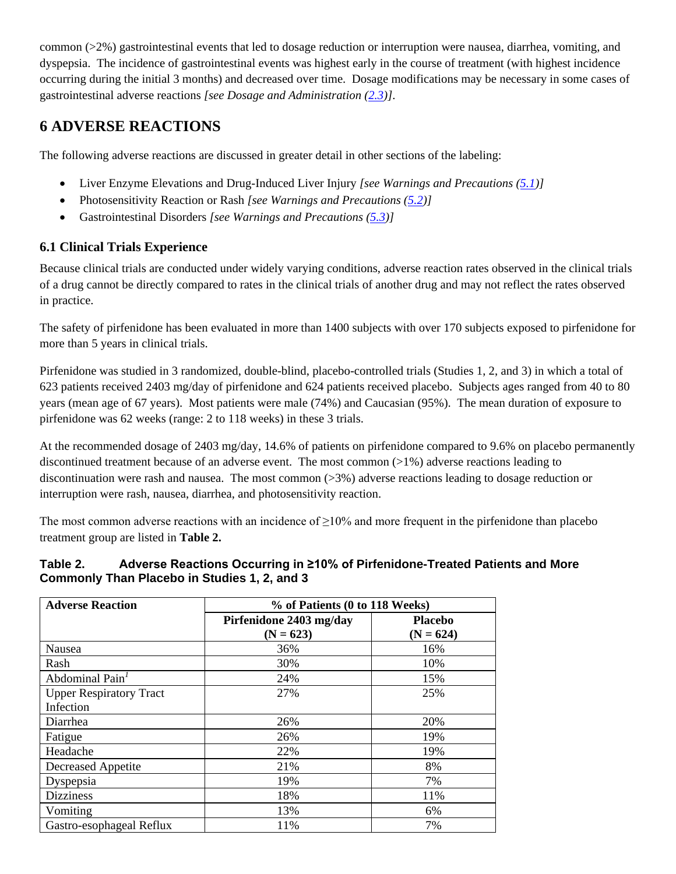common (>2%) gastrointestinal events that led to dosage reduction or interruption were nausea, diarrhea, vomiting, and dyspepsia. The incidence of gastrointestinal events was highest early in the course of treatment (with highest incidence occurring during the initial 3 months) and decreased over time. Dosage modifications may be necessary in some cases of gastrointestinal adverse reactions *[see Dosage and Administration [\(2.3\)](#page-1-0)]*.

# <span id="page-3-1"></span>**6 ADVERSE REACTIONS**

The following adverse reactions are discussed in greater detail in other sections of the labeling:

- Liver Enzyme Elevations and Drug-Induced Liver Injury *[see Warnings and Precautions [\(5.1\)](#page-2-0)]*
- Photosensitivity Reaction or Rash *[see Warnings and Precautions [\(5.2\)](#page-2-1)]*
- Gastrointestinal Disorders *[see Warnings and Precautions [\(5.3\)](#page-2-2)]*

# <span id="page-3-0"></span>**6.1 Clinical Trials Experience**

Because clinical trials are conducted under widely varying conditions, adverse reaction rates observed in the clinical trials of a drug cannot be directly compared to rates in the clinical trials of another drug and may not reflect the rates observed in practice.

The safety of pirfenidone has been evaluated in more than 1400 subjects with over 170 subjects exposed to pirfenidone for more than 5 years in clinical trials.

Pirfenidone was studied in 3 randomized, double-blind, placebo-controlled trials (Studies 1, 2, and 3) in which a total of 623 patients received 2403 mg/day of pirfenidone and 624 patients received placebo. Subjects ages ranged from 40 to 80 years (mean age of 67 years). Most patients were male (74%) and Caucasian (95%). The mean duration of exposure to pirfenidone was 62 weeks (range: 2 to 118 weeks) in these 3 trials.

At the recommended dosage of 2403 mg/day, 14.6% of patients on pirfenidone compared to 9.6% on placebo permanently discontinued treatment because of an adverse event. The most common (>1%) adverse reactions leading to discontinuation were rash and nausea. The most common (>3%) adverse reactions leading to dosage reduction or interruption were rash, nausea, diarrhea, and photosensitivity reaction.

The most common adverse reactions with an incidence of  $\geq 10\%$  and more frequent in the pirfenidone than placebo treatment group are listed in **Table 2.**

## **Table 2. Adverse Reactions Occurring in ≥10% of Pirfenidone-Treated Patients and More Commonly Than Placebo in Studies 1, 2, and 3**

| <b>Adverse Reaction</b>        | % of Patients (0 to 118 Weeks)         |                               |  |  |
|--------------------------------|----------------------------------------|-------------------------------|--|--|
|                                | Pirfenidone 2403 mg/day<br>$(N = 623)$ | <b>Placebo</b><br>$(N = 624)$ |  |  |
| Nausea                         | 36%                                    | 16%                           |  |  |
| Rash                           | 30%                                    | 10%                           |  |  |
| Abdominal Pain <sup>1</sup>    | 24%                                    | 15%                           |  |  |
| <b>Upper Respiratory Tract</b> | 27%                                    | 25%                           |  |  |
| Infection                      |                                        |                               |  |  |
| Diarrhea                       | 26%                                    | 20%                           |  |  |
| Fatigue                        | 26%                                    | 19%                           |  |  |
| Headache                       | 22%                                    | 19%                           |  |  |
| <b>Decreased Appetite</b>      | 21%                                    | 8%                            |  |  |
| Dyspepsia                      | 19%                                    | 7%                            |  |  |
| <b>Dizziness</b>               | 18%                                    | 11%                           |  |  |
| Vomiting                       | 13%                                    | 6%                            |  |  |
| Gastro-esophageal Reflux       | 11%                                    | 7%                            |  |  |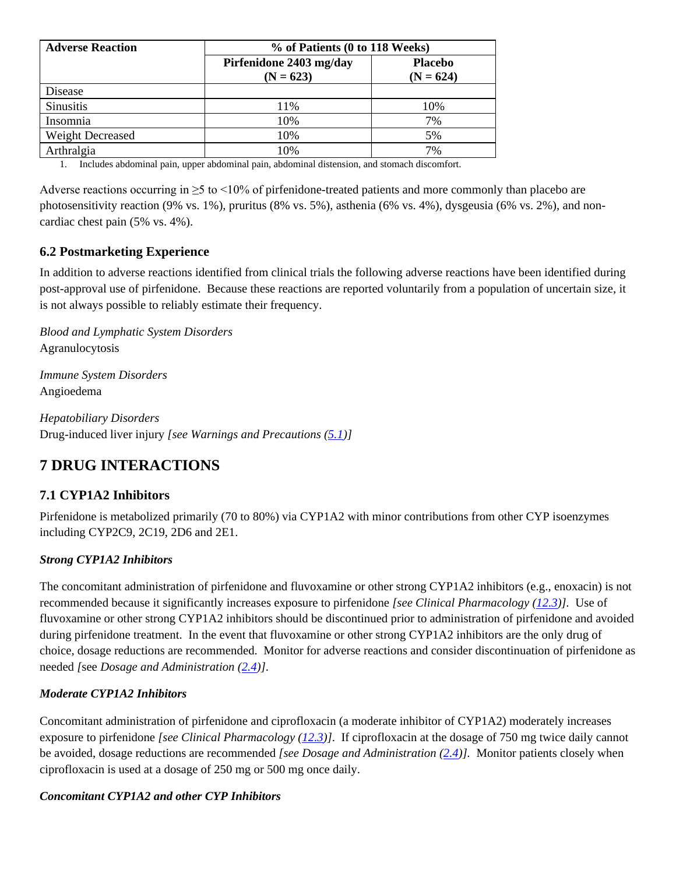| <b>Adverse Reaction</b> | % of Patients (0 to 118 Weeks)         |                               |  |
|-------------------------|----------------------------------------|-------------------------------|--|
|                         | Pirfenidone 2403 mg/day<br>$(N = 623)$ | <b>Placebo</b><br>$(N = 624)$ |  |
| Disease                 |                                        |                               |  |
| <b>Sinusitis</b>        | 11%                                    | 10%                           |  |
| Insomnia                | 10%                                    | 7%                            |  |
| Weight Decreased        | 10%                                    | 5%                            |  |
| Arthralgia              | 10%                                    | 7%                            |  |

<span id="page-4-3"></span>1. Includes abdominal pain, upper abdominal pain, abdominal distension, and stomach discomfort.

Adverse reactions occurring in  $\geq$ 5 to <10% of pirfenidone-treated patients and more commonly than placebo are photosensitivity reaction (9% vs. 1%), pruritus (8% vs. 5%), asthenia (6% vs. 4%), dysgeusia (6% vs. 2%), and noncardiac chest pain (5% vs. 4%).

# <span id="page-4-1"></span>**6.2 Postmarketing Experience**

In addition to adverse reactions identified from clinical trials the following adverse reactions have been identified during post-approval use of pirfenidone. Because these reactions are reported voluntarily from a population of uncertain size, it is not always possible to reliably estimate their frequency.

*Blood and Lymphatic System Disorders* Agranulocytosis

*Immune System Disorders* Angioedema

*Hepatobiliary Disorders* Drug-induced liver injury *[see Warnings and Precautions [\(5.1\)](#page-2-0)]*

# <span id="page-4-2"></span>**7 DRUG INTERACTIONS**

# <span id="page-4-0"></span>**7.1 CYP1A2 Inhibitors**

Pirfenidone is metabolized primarily (70 to 80%) via CYP1A2 with minor contributions from other CYP isoenzymes including CYP2C9, 2C19, 2D6 and 2E1.

### *Strong CYP1A2 Inhibitors*

The concomitant administration of pirfenidone and fluvoxamine or other strong CYP1A2 inhibitors (e.g., enoxacin) is not recommended because it significantly increases exposure to pirfenidone *[see Clinical Pharmacology [\(12.3\)](#page-7-0)].* Use of fluvoxamine or other strong CYP1A2 inhibitors should be discontinued prior to administration of pirfenidone and avoided during pirfenidone treatment. In the event that fluvoxamine or other strong CYP1A2 inhibitors are the only drug of choice, dosage reductions are recommended. Monitor for adverse reactions and consider discontinuation of pirfenidone as needed *[*see *Dosage and Administration [\(2.4\)](#page-2-4)]*.

### *Moderate CYP1A2 Inhibitors*

Concomitant administration of pirfenidone and ciprofloxacin (a moderate inhibitor of CYP1A2) moderately increases exposure to pirfenidone *[see Clinical Pharmacology [\(12.3\)](#page-7-0)]*. If ciprofloxacin at the dosage of 750 mg twice daily cannot be avoided, dosage reductions are recommended *[see Dosage and Administration [\(2.4\)](#page-2-4)].* Monitor patients closely when ciprofloxacin is used at a dosage of 250 mg or 500 mg once daily.

### *Concomitant CYP1A2 and other CYP Inhibitors*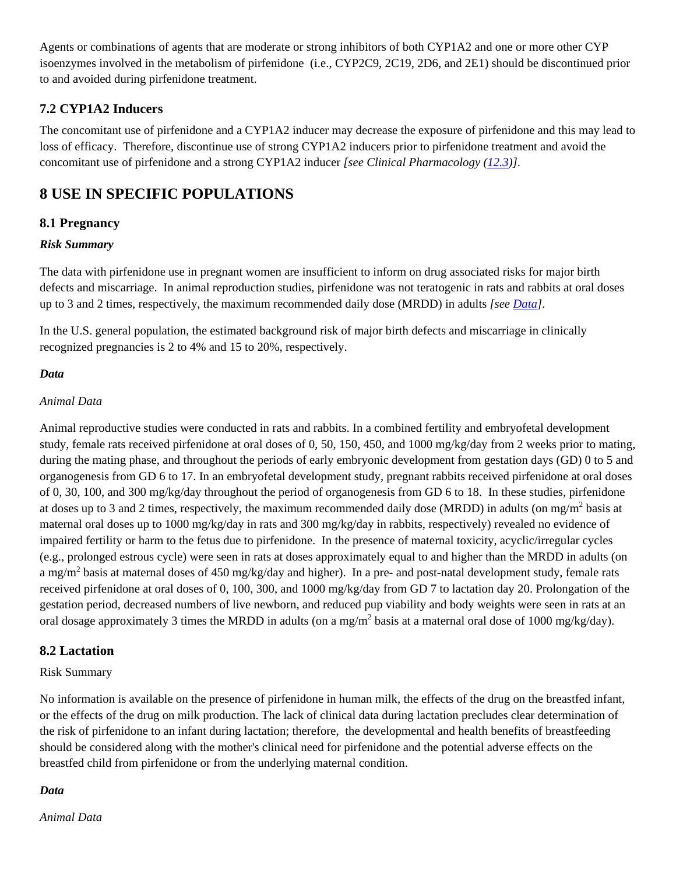Agents or combinations of agents that are moderate or strong inhibitors of both CYP1A2 and one or more other CYP isoenzymes involved in the metabolism of pirfenidone (i.e., CYP2C9, 2C19, 2D6, and 2E1) should be discontinued prior to and avoided during pirfenidone treatment.

# <span id="page-5-0"></span>**7.2 CYP1A2 Inducers**

The concomitant use of pirfenidone and a CYP1A2 inducer may decrease the exposure of pirfenidone and this may lead to loss of efficacy. Therefore, discontinue use of strong CYP1A2 inducers prior to pirfenidone treatment and avoid the concomitant use of pirfenidone and a strong CYP1A2 inducer *[see Clinical Pharmacology [\(12.3\)](#page-7-0)]*.

# <span id="page-5-1"></span>**8 USE IN SPECIFIC POPULATIONS**

# <span id="page-5-2"></span>**8.1 Pregnancy**

### *Risk Summary*

The data with pirfenidone use in pregnant women are insufficient to inform on drug associated risks for major birth defects and miscarriage. In animal reproduction studies, pirfenidone was not teratogenic in rats and rabbits at oral doses up to 3 and 2 times, respectively, the maximum recommended daily dose (MRDD) in adults *[see Data]*.

In the U.S. general population, the estimated background risk of major birth defects and miscarriage in clinically recognized pregnancies is 2 to 4% and 15 to 20%, respectively.

### *Data*

### *Animal Data*

Animal reproductive studies were conducted in rats and rabbits. In a combined fertility and embryofetal development study, female rats received pirfenidone at oral doses of 0, 50, 150, 450, and 1000 mg/kg/day from 2 weeks prior to mating, during the mating phase, and throughout the periods of early embryonic development from gestation days (GD) 0 to 5 and organogenesis from GD 6 to 17. In an embryofetal development study, pregnant rabbits received pirfenidone at oral doses of 0, 30, 100, and 300 mg/kg/day throughout the period of organogenesis from GD 6 to 18. In these studies, pirfenidone at doses up to 3 and 2 times, respectively, the maximum recommended daily dose (MRDD) in adults (on mg/m<sup>2</sup> basis at maternal oral doses up to 1000 mg/kg/day in rats and 300 mg/kg/day in rabbits, respectively) revealed no evidence of impaired fertility or harm to the fetus due to pirfenidone. In the presence of maternal toxicity, acyclic/irregular cycles (e.g., prolonged estrous cycle) were seen in rats at doses approximately equal to and higher than the MRDD in adults (on a mg/m<sup>2</sup> basis at maternal doses of 450 mg/kg/day and higher). In a pre- and post-natal development study, female rats received pirfenidone at oral doses of 0, 100, 300, and 1000 mg/kg/day from GD 7 to lactation day 20. Prolongation of the gestation period, decreased numbers of live newborn, and reduced pup viability and body weights were seen in rats at an oral dosage approximately 3 times the MRDD in adults (on a mg/m<sup>2</sup> basis at a maternal oral dose of 1000 mg/kg/day).

### <span id="page-5-3"></span>**8.2 Lactation**

### Risk Summary

No information is available on the presence of pirfenidone in human milk, the effects of the drug on the breastfed infant, or the effects of the drug on milk production. The lack of clinical data during lactation precludes clear determination of the risk of pirfenidone to an infant during lactation; therefore, the developmental and health benefits of breastfeeding should be considered along with the mother's clinical need for pirfenidone and the potential adverse effects on the breastfed child from pirfenidone or from the underlying maternal condition.

### *Data*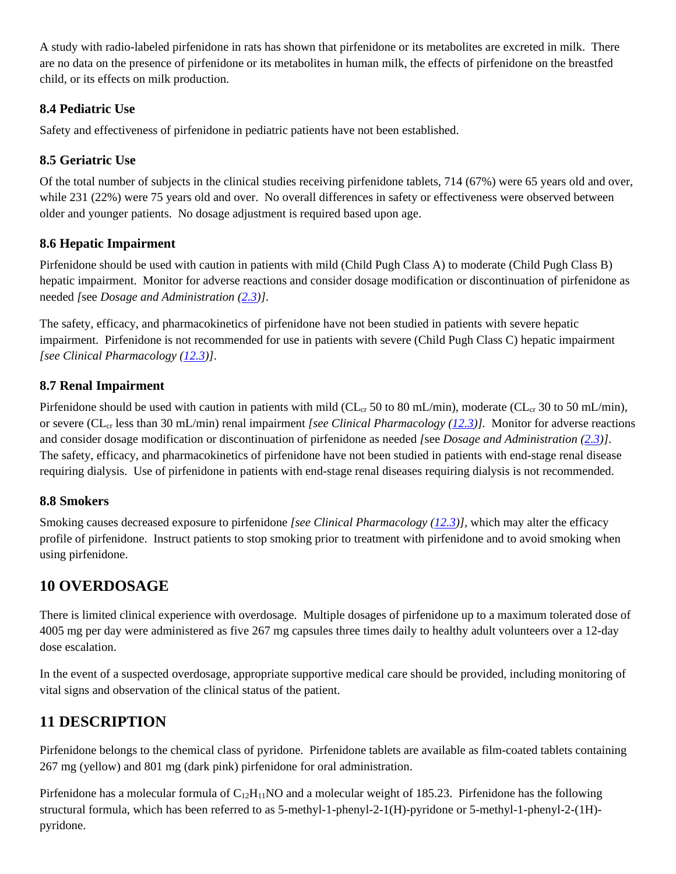A study with radio-labeled pirfenidone in rats has shown that pirfenidone or its metabolites are excreted in milk. There are no data on the presence of pirfenidone or its metabolites in human milk, the effects of pirfenidone on the breastfed child, or its effects on milk production.

# <span id="page-6-3"></span>**8.4 Pediatric Use**

Safety and effectiveness of pirfenidone in pediatric patients have not been established.

# <span id="page-6-4"></span>**8.5 Geriatric Use**

Of the total number of subjects in the clinical studies receiving pirfenidone tablets, 714 (67%) were 65 years old and over, while 231 (22%) were 75 years old and over. No overall differences in safety or effectiveness were observed between older and younger patients. No dosage adjustment is required based upon age.

# <span id="page-6-0"></span>**8.6 Hepatic Impairment**

Pirfenidone should be used with caution in patients with mild (Child Pugh Class A) to moderate (Child Pugh Class B) hepatic impairment. Monitor for adverse reactions and consider dosage modification or discontinuation of pirfenidone as needed *[*see *Dosage and Administration [\(2.3\)](#page-1-0)]*.

The safety, efficacy, and pharmacokinetics of pirfenidone have not been studied in patients with severe hepatic impairment. Pirfenidone is not recommended for use in patients with severe (Child Pugh Class C) hepatic impairment *[see Clinical Pharmacology [\(12.3\)](#page-7-0)]*.

# <span id="page-6-1"></span>**8.7 Renal Impairment**

Pirfenidone should be used with caution in patients with mild (CL<sub>cr</sub> 50 to 80 mL/min), moderate (CL<sub>cr</sub> 30 to 50 mL/min), or severe (CL<sub>cr</sub> less than 30 mL/min) renal impairment *[see Clinical Pharmacology [\(12.3\)](#page-7-0)]*. Monitor for adverse reactions and consider dosage modification or discontinuation of pirfenidone as needed *[*see *Dosage and Administration [\(2.3\)](#page-1-0)]*. The safety, efficacy, and pharmacokinetics of pirfenidone have not been studied in patients with end-stage renal disease requiring dialysis. Use of pirfenidone in patients with end-stage renal diseases requiring dialysis is not recommended.

# <span id="page-6-2"></span>**8.8 Smokers**

Smoking causes decreased exposure to pirfenidone *[see Clinical Pharmacology [\(12.3\)](#page-7-0)],* which may alter the efficacy profile of pirfenidone. Instruct patients to stop smoking prior to treatment with pirfenidone and to avoid smoking when using pirfenidone.

# <span id="page-6-5"></span>**10 OVERDOSAGE**

There is limited clinical experience with overdosage. Multiple dosages of pirfenidone up to a maximum tolerated dose of 4005 mg per day were administered as five 267 mg capsules three times daily to healthy adult volunteers over a 12-day dose escalation.

In the event of a suspected overdosage, appropriate supportive medical care should be provided, including monitoring of vital signs and observation of the clinical status of the patient.

# <span id="page-6-6"></span>**11 DESCRIPTION**

Pirfenidone belongs to the chemical class of pyridone. Pirfenidone tablets are available as film-coated tablets containing 267 mg (yellow) and 801 mg (dark pink) pirfenidone for oral administration.

Pirfenidone has a molecular formula of  $C_{12}H_{11}NO$  and a molecular weight of 185.23. Pirfenidone has the following structural formula, which has been referred to as 5-methyl-1-phenyl-2-1(H)-pyridone or 5-methyl-1-phenyl-2-(1H) pyridone.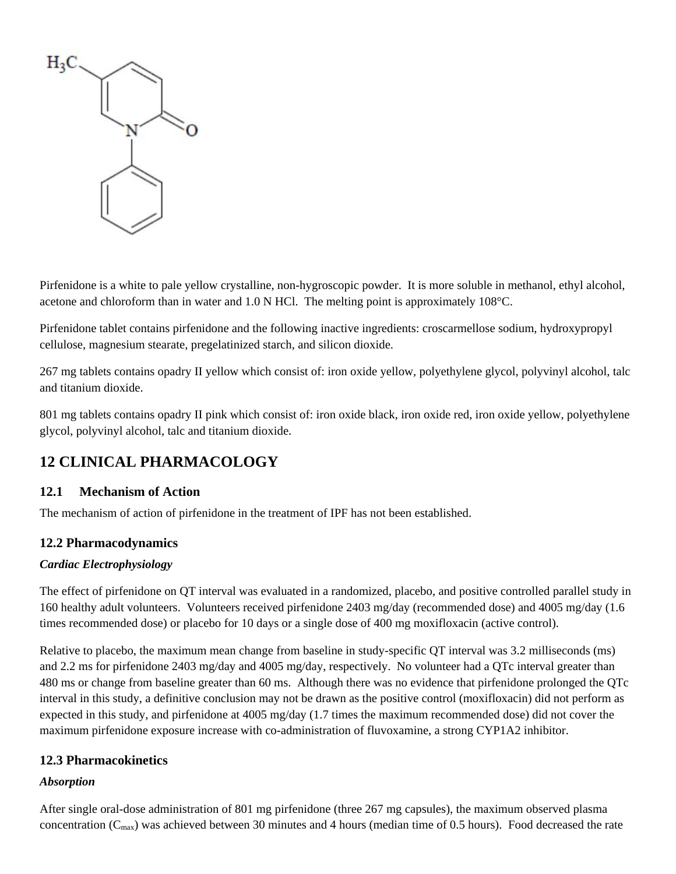

Pirfenidone is a white to pale yellow crystalline, non-hygroscopic powder. It is more soluble in methanol, ethyl alcohol, acetone and chloroform than in water and 1.0 N HCl. The melting point is approximately 108°C.

Pirfenidone tablet contains pirfenidone and the following inactive ingredients: croscarmellose sodium, hydroxypropyl cellulose, magnesium stearate, pregelatinized starch, and silicon dioxide.

267 mg tablets contains opadry II yellow which consist of: iron oxide yellow, polyethylene glycol, polyvinyl alcohol, talc and titanium dioxide.

801 mg tablets contains opadry II pink which consist of: iron oxide black, iron oxide red, iron oxide yellow, polyethylene glycol, polyvinyl alcohol, talc and titanium dioxide.

# <span id="page-7-1"></span>**12 CLINICAL PHARMACOLOGY**

# <span id="page-7-2"></span>**12.1 Mechanism of Action**

The mechanism of action of pirfenidone in the treatment of IPF has not been established.

# <span id="page-7-3"></span>**12.2 Pharmacodynamics**

### *Cardiac Electrophysiology*

The effect of pirfenidone on QT interval was evaluated in a randomized, placebo, and positive controlled parallel study in 160 healthy adult volunteers. Volunteers received pirfenidone 2403 mg/day (recommended dose) and 4005 mg/day (1.6 times recommended dose) or placebo for 10 days or a single dose of 400 mg moxifloxacin (active control).

Relative to placebo, the maximum mean change from baseline in study-specific QT interval was 3.2 milliseconds (ms) and 2.2 ms for pirfenidone 2403 mg/day and 4005 mg/day, respectively. No volunteer had a QTc interval greater than 480 ms or change from baseline greater than 60 ms. Although there was no evidence that pirfenidone prolonged the QTc interval in this study, a definitive conclusion may not be drawn as the positive control (moxifloxacin) did not perform as expected in this study, and pirfenidone at 4005 mg/day (1.7 times the maximum recommended dose) did not cover the maximum pirfenidone exposure increase with co-administration of fluvoxamine, a strong CYP1A2 inhibitor.

### <span id="page-7-0"></span>**12.3 Pharmacokinetics**

### *Absorption*

After single oral-dose administration of 801 mg pirfenidone (three 267 mg capsules), the maximum observed plasma concentration (Cmax) was achieved between 30 minutes and 4 hours (median time of 0.5 hours). Food decreased the rate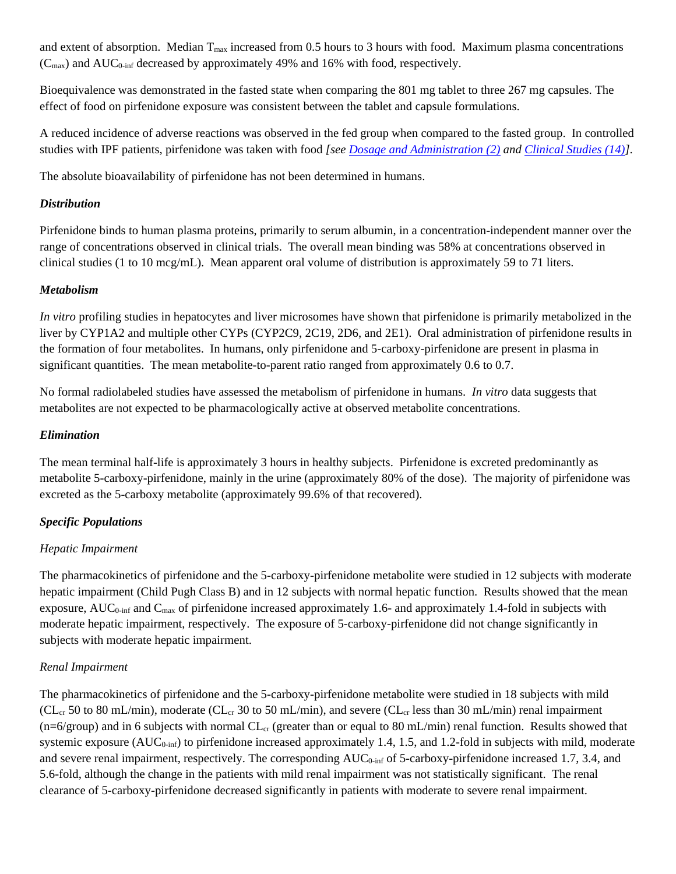and extent of absorption. Median  $T_{\text{max}}$  increased from 0.5 hours to 3 hours with food. Maximum plasma concentrations  $(C_{\text{max}})$  and AUC<sub>0-inf</sub> decreased by approximately 49% and 16% with food, respectively.

Bioequivalence was demonstrated in the fasted state when comparing the 801 mg tablet to three 267 mg capsules. The effect of food on pirfenidone exposure was consistent between the tablet and capsule formulations.

A reduced incidence of adverse reactions was observed in the fed group when compared to the fasted group. In controlled studies with IPF patients, pirfenidone was taken with food *[see [Dosage and Administration \(2\)](#page-0-0) and [Clinical Studies \(14\)\]](#page-10-2)*.

The absolute bioavailability of pirfenidone has not been determined in humans.

### *Distribution*

Pirfenidone binds to human plasma proteins, primarily to serum albumin, in a concentration-independent manner over the range of concentrations observed in clinical trials. The overall mean binding was 58% at concentrations observed in clinical studies (1 to 10 mcg/mL). Mean apparent oral volume of distribution is approximately 59 to 71 liters.

### *Metabolism*

*In vitro* profiling studies in hepatocytes and liver microsomes have shown that pirfenidone is primarily metabolized in the liver by CYP1A2 and multiple other CYPs (CYP2C9, 2C19, 2D6, and 2E1). Oral administration of pirfenidone results in the formation of four metabolites. In humans, only pirfenidone and 5-carboxy-pirfenidone are present in plasma in significant quantities. The mean metabolite-to-parent ratio ranged from approximately 0.6 to 0.7.

No formal radiolabeled studies have assessed the metabolism of pirfenidone in humans. *In vitro* data suggests that metabolites are not expected to be pharmacologically active at observed metabolite concentrations.

### *Elimination*

The mean terminal half-life is approximately 3 hours in healthy subjects. Pirfenidone is excreted predominantly as metabolite 5-carboxy-pirfenidone, mainly in the urine (approximately 80% of the dose). The majority of pirfenidone was excreted as the 5-carboxy metabolite (approximately 99.6% of that recovered).

### *Specific Populations*

### *Hepatic Impairment*

The pharmacokinetics of pirfenidone and the 5-carboxy-pirfenidone metabolite were studied in 12 subjects with moderate hepatic impairment (Child Pugh Class B) and in 12 subjects with normal hepatic function. Results showed that the mean exposure,  $AUC_{0\text{-inf}}$  and  $C_{\text{max}}$  of pirfenidone increased approximately 1.6- and approximately 1.4-fold in subjects with moderate hepatic impairment, respectively. The exposure of 5-carboxy-pirfenidone did not change significantly in subjects with moderate hepatic impairment.

### *Renal Impairment*

The pharmacokinetics of pirfenidone and the 5-carboxy-pirfenidone metabolite were studied in 18 subjects with mild ( $CL_{cr}$  50 to 80 mL/min), moderate ( $CL_{cr}$  30 to 50 mL/min), and severe ( $CL_{cr}$  less than 30 mL/min) renal impairment  $(n=6/$ group) and in 6 subjects with normal  $CL_{cr}$  (greater than or equal to 80 mL/min) renal function. Results showed that systemic exposure  $(AUC_{0\text{-inf}})$  to pirfenidone increased approximately 1.4, 1.5, and 1.2-fold in subjects with mild, moderate and severe renal impairment, respectively. The corresponding AUC<sub>0-inf</sub> of 5-carboxy-pirfenidone increased 1.7, 3.4, and 5.6-fold, although the change in the patients with mild renal impairment was not statistically significant. The renal clearance of 5-carboxy-pirfenidone decreased significantly in patients with moderate to severe renal impairment.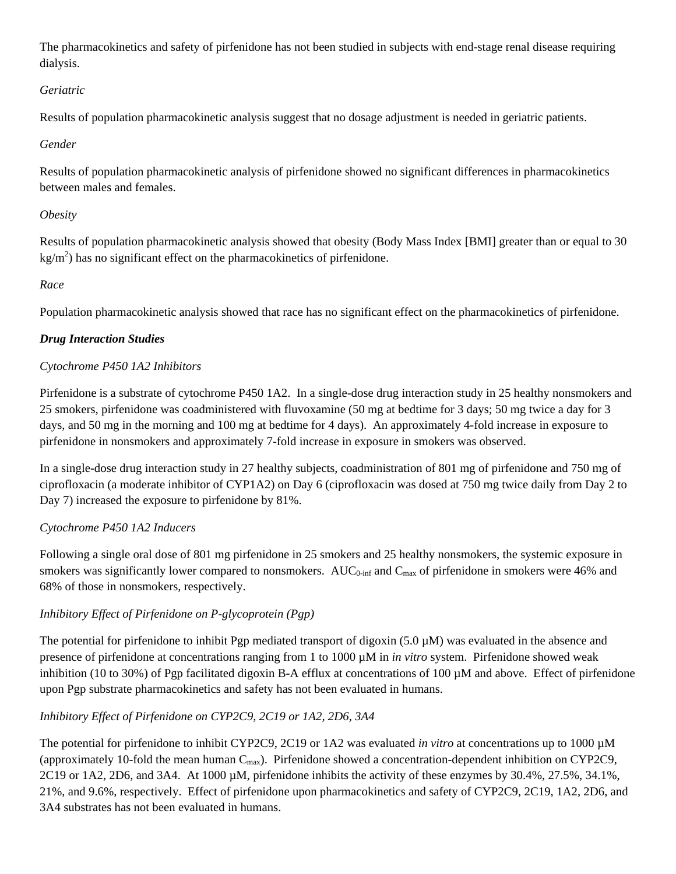The pharmacokinetics and safety of pirfenidone has not been studied in subjects with end-stage renal disease requiring dialysis.

## *Geriatric*

Results of population pharmacokinetic analysis suggest that no dosage adjustment is needed in geriatric patients.

## *Gender*

Results of population pharmacokinetic analysis of pirfenidone showed no significant differences in pharmacokinetics between males and females.

## *Obesity*

Results of population pharmacokinetic analysis showed that obesity (Body Mass Index [BMI] greater than or equal to 30  $\text{kg/m}^2$ ) has no significant effect on the pharmacokinetics of pirfenidone.

## *Race*

Population pharmacokinetic analysis showed that race has no significant effect on the pharmacokinetics of pirfenidone.

## *Drug Interaction Studies*

## *Cytochrome P450 1A2 Inhibitors*

Pirfenidone is a substrate of cytochrome P450 1A2. In a single-dose drug interaction study in 25 healthy nonsmokers and 25 smokers, pirfenidone was coadministered with fluvoxamine (50 mg at bedtime for 3 days; 50 mg twice a day for 3 days, and 50 mg in the morning and 100 mg at bedtime for 4 days). An approximately 4-fold increase in exposure to pirfenidone in nonsmokers and approximately 7-fold increase in exposure in smokers was observed.

In a single-dose drug interaction study in 27 healthy subjects, coadministration of 801 mg of pirfenidone and 750 mg of ciprofloxacin (a moderate inhibitor of CYP1A2) on Day 6 (ciprofloxacin was dosed at 750 mg twice daily from Day 2 to Day 7) increased the exposure to pirfenidone by 81%.

# *Cytochrome P450 1A2 Inducers*

Following a single oral dose of 801 mg pirfenidone in 25 smokers and 25 healthy nonsmokers, the systemic exposure in smokers was significantly lower compared to nonsmokers. AUC<sub>0-inf</sub> and  $C_{max}$  of pirfenidone in smokers were 46% and 68% of those in nonsmokers, respectively.

# *Inhibitory Effect of Pirfenidone on P-glycoprotein (Pgp)*

The potential for pirfenidone to inhibit Pgp mediated transport of digoxin  $(5.0 \mu M)$  was evaluated in the absence and presence of pirfenidone at concentrations ranging from 1 to 1000 µM in *in vitro* system. Pirfenidone showed weak inhibition (10 to 30%) of Pgp facilitated digoxin B-A efflux at concentrations of 100 µM and above. Effect of pirfenidone upon Pgp substrate pharmacokinetics and safety has not been evaluated in humans.

# *Inhibitory Effect of Pirfenidone on CYP2C9, 2C19 or 1A2, 2D6, 3A4*

The potential for pirfenidone to inhibit CYP2C9, 2C19 or 1A2 was evaluated *in vitro* at concentrations up to 1000 µM (approximately 10-fold the mean human  $C_{\text{max}}$ ). Pirfenidone showed a concentration-dependent inhibition on CYP2C9, 2C19 or 1A2, 2D6, and 3A4. At 1000 µM, pirfenidone inhibits the activity of these enzymes by 30.4%, 27.5%, 34.1%, 21%, and 9.6%, respectively. Effect of pirfenidone upon pharmacokinetics and safety of CYP2C9, 2C19, 1A2, 2D6, and 3A4 substrates has not been evaluated in humans.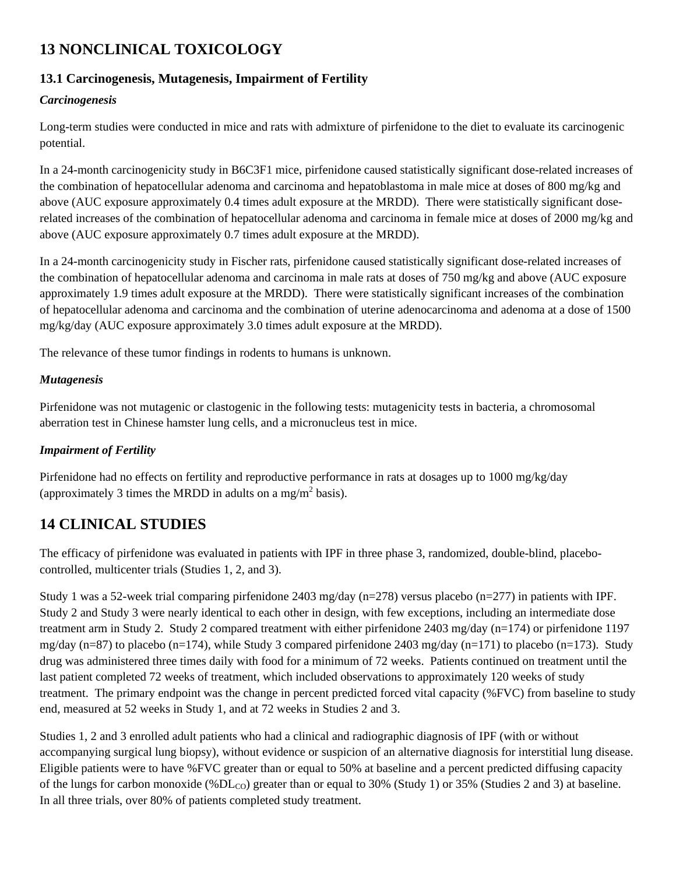# <span id="page-10-0"></span>**13 NONCLINICAL TOXICOLOGY**

# <span id="page-10-1"></span>**13.1 Carcinogenesis, Mutagenesis, Impairment of Fertility**

## *Carcinogenesis*

Long-term studies were conducted in mice and rats with admixture of pirfenidone to the diet to evaluate its carcinogenic potential.

In a 24-month carcinogenicity study in B6C3F1 mice, pirfenidone caused statistically significant dose-related increases of the combination of hepatocellular adenoma and carcinoma and hepatoblastoma in male mice at doses of 800 mg/kg and above (AUC exposure approximately 0.4 times adult exposure at the MRDD). There were statistically significant doserelated increases of the combination of hepatocellular adenoma and carcinoma in female mice at doses of 2000 mg/kg and above (AUC exposure approximately 0.7 times adult exposure at the MRDD).

In a 24-month carcinogenicity study in Fischer rats, pirfenidone caused statistically significant dose-related increases of the combination of hepatocellular adenoma and carcinoma in male rats at doses of 750 mg/kg and above (AUC exposure approximately 1.9 times adult exposure at the MRDD). There were statistically significant increases of the combination of hepatocellular adenoma and carcinoma and the combination of uterine adenocarcinoma and adenoma at a dose of 1500 mg/kg/day (AUC exposure approximately 3.0 times adult exposure at the MRDD).

The relevance of these tumor findings in rodents to humans is unknown.

### *Mutagenesis*

Pirfenidone was not mutagenic or clastogenic in the following tests: mutagenicity tests in bacteria, a chromosomal aberration test in Chinese hamster lung cells, and a micronucleus test in mice.

### *Impairment of Fertility*

Pirfenidone had no effects on fertility and reproductive performance in rats at dosages up to 1000 mg/kg/day (approximately 3 times the MRDD in adults on a mg/m<sup>2</sup> basis).

# <span id="page-10-2"></span>**14 CLINICAL STUDIES**

The efficacy of pirfenidone was evaluated in patients with IPF in three phase 3, randomized, double-blind, placebocontrolled, multicenter trials (Studies 1, 2, and 3).

Study 1 was a 52-week trial comparing pirfenidone 2403 mg/day (n=278) versus placebo (n=277) in patients with IPF. Study 2 and Study 3 were nearly identical to each other in design, with few exceptions, including an intermediate dose treatment arm in Study 2. Study 2 compared treatment with either pirfenidone 2403 mg/day (n=174) or pirfenidone 1197 mg/day (n=87) to placebo (n=174), while Study 3 compared pirfenidone 2403 mg/day (n=171) to placebo (n=173). Study drug was administered three times daily with food for a minimum of 72 weeks. Patients continued on treatment until the last patient completed 72 weeks of treatment, which included observations to approximately 120 weeks of study treatment. The primary endpoint was the change in percent predicted forced vital capacity (%FVC) from baseline to study end, measured at 52 weeks in Study 1, and at 72 weeks in Studies 2 and 3.

Studies 1, 2 and 3 enrolled adult patients who had a clinical and radiographic diagnosis of IPF (with or without accompanying surgical lung biopsy), without evidence or suspicion of an alternative diagnosis for interstitial lung disease. Eligible patients were to have %FVC greater than or equal to 50% at baseline and a percent predicted diffusing capacity of the lungs for carbon monoxide (%DL<sub>CO</sub>) greater than or equal to 30% (Study 1) or 35% (Studies 2 and 3) at baseline. In all three trials, over 80% of patients completed study treatment.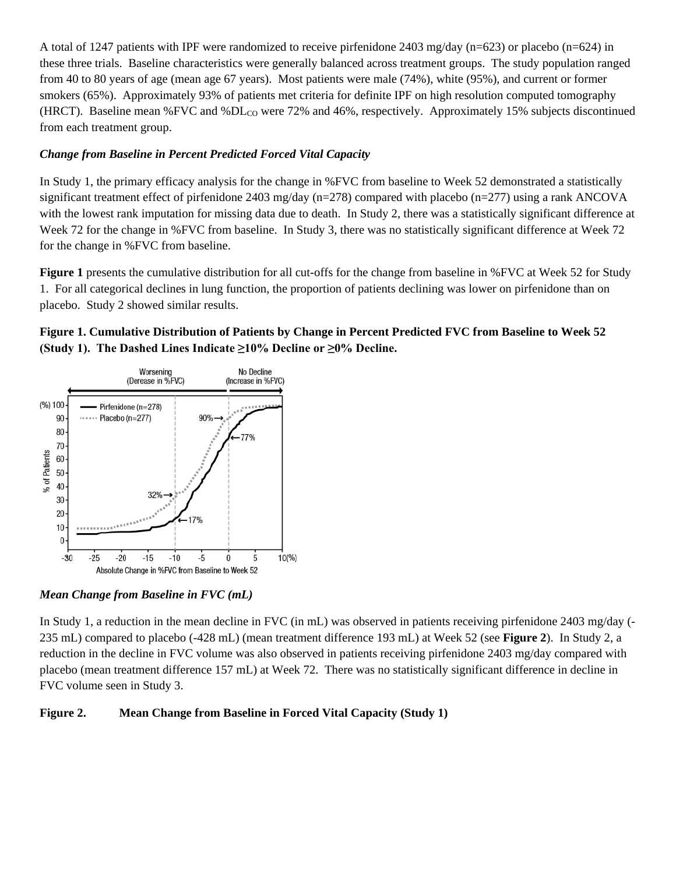A total of 1247 patients with IPF were randomized to receive pirfenidone 2403 mg/day (n=623) or placebo (n=624) in these three trials. Baseline characteristics were generally balanced across treatment groups. The study population ranged from 40 to 80 years of age (mean age 67 years). Most patients were male (74%), white (95%), and current or former smokers (65%). Approximately 93% of patients met criteria for definite IPF on high resolution computed tomography (HRCT). Baseline mean %FVC and %DLCO were 72% and 46%, respectively. Approximately 15% subjects discontinued from each treatment group.

### *Change from Baseline in Percent Predicted Forced Vital Capacity*

In Study 1, the primary efficacy analysis for the change in %FVC from baseline to Week 52 demonstrated a statistically significant treatment effect of pirfenidone 2403 mg/day (n=278) compared with placebo (n=277) using a rank ANCOVA with the lowest rank imputation for missing data due to death. In Study 2, there was a statistically significant difference at Week 72 for the change in %FVC from baseline. In Study 3, there was no statistically significant difference at Week 72 for the change in %FVC from baseline.

**Figure 1** presents the cumulative distribution for all cut-offs for the change from baseline in %FVC at Week 52 for Study 1. For all categorical declines in lung function, the proportion of patients declining was lower on pirfenidone than on placebo. Study 2 showed similar results.

## **Figure 1. Cumulative Distribution of Patients by Change in Percent Predicted FVC from Baseline to Week 52 (Study 1). The Dashed Lines Indicate ≥10% Decline or ≥0% Decline.**



*Mean Change from Baseline in FVC (mL)*

In Study 1, a reduction in the mean decline in FVC (in mL) was observed in patients receiving pirfenidone 2403 mg/day (- 235 mL) compared to placebo (-428 mL) (mean treatment difference 193 mL) at Week 52 (see **Figure 2**). In Study 2, a reduction in the decline in FVC volume was also observed in patients receiving pirfenidone 2403 mg/day compared with placebo (mean treatment difference 157 mL) at Week 72. There was no statistically significant difference in decline in FVC volume seen in Study 3.

### **Figure 2. Mean Change from Baseline in Forced Vital Capacity (Study 1)**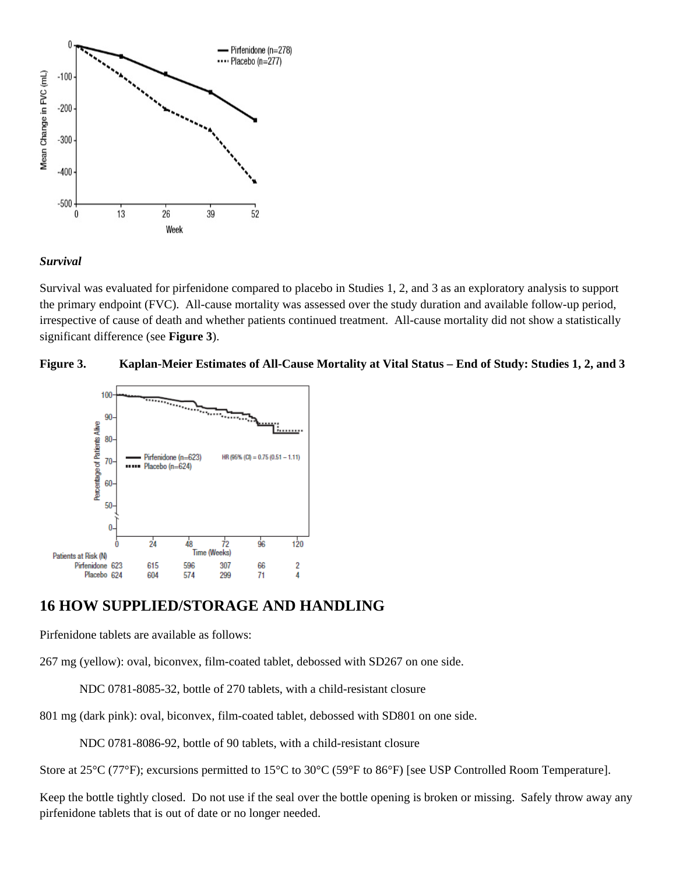

### *Survival*

Survival was evaluated for pirfenidone compared to placebo in Studies 1, 2, and 3 as an exploratory analysis to support the primary endpoint (FVC). All-cause mortality was assessed over the study duration and available follow-up period, irrespective of cause of death and whether patients continued treatment. All-cause mortality did not show a statistically significant difference (see **Figure 3**).





# <span id="page-12-0"></span>**16 HOW SUPPLIED/STORAGE AND HANDLING**

Pirfenidone tablets are available as follows:

267 mg (yellow): oval, biconvex, film-coated tablet, debossed with SD267 on one side.

NDC 0781-8085-32, bottle of 270 tablets, with a child-resistant closure

801 mg (dark pink): oval, biconvex, film-coated tablet, debossed with SD801 on one side.

NDC 0781-8086-92, bottle of 90 tablets, with a child-resistant closure

Store at 25°C (77°F); excursions permitted to 15°C to 30°C (59°F to 86°F) [see USP Controlled Room Temperature].

Keep the bottle tightly closed. Do not use if the seal over the bottle opening is broken or missing. Safely throw away any pirfenidone tablets that is out of date or no longer needed.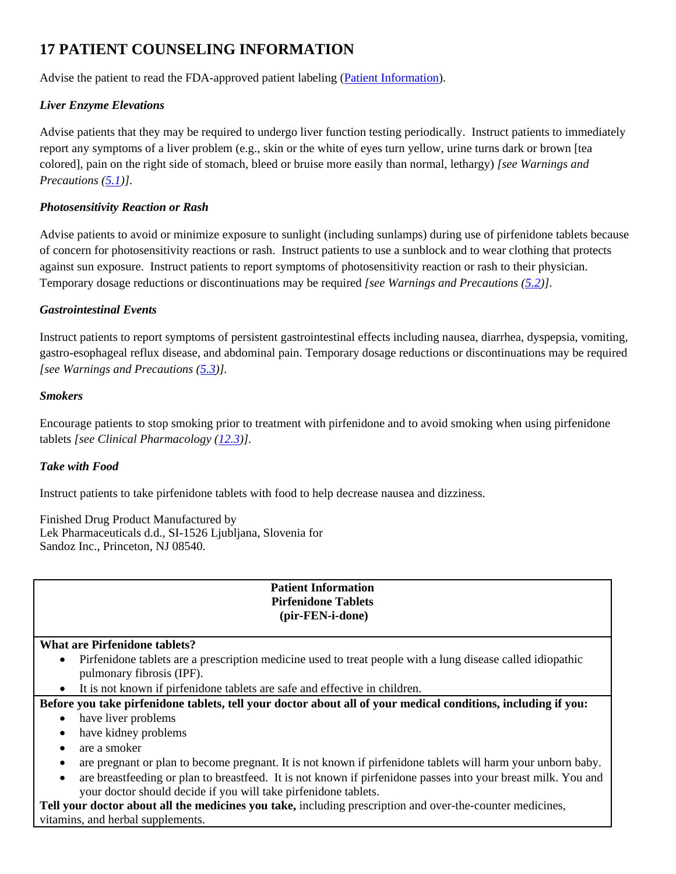# <span id="page-13-0"></span>**17 PATIENT COUNSELING INFORMATION**

Advise the patient to read the FDA-approved patient labeling (Patient Information).

## *Liver Enzyme Elevations*

Advise patients that they may be required to undergo liver function testing periodically. Instruct patients to immediately report any symptoms of a liver problem (e.g., skin or the white of eyes turn yellow, urine turns dark or brown [tea colored], pain on the right side of stomach, bleed or bruise more easily than normal, lethargy) *[see Warnings and Precautions [\(5.1\)](#page-2-0)]*.

### *Photosensitivity Reaction or Rash*

Advise patients to avoid or minimize exposure to sunlight (including sunlamps) during use of pirfenidone tablets because of concern for photosensitivity reactions or rash. Instruct patients to use a sunblock and to wear clothing that protects against sun exposure. Instruct patients to report symptoms of photosensitivity reaction or rash to their physician. Temporary dosage reductions or discontinuations may be required *[see Warnings and Precautions [\(5.2\)](#page-2-1)]*.

### *Gastrointestinal Events*

Instruct patients to report symptoms of persistent gastrointestinal effects including nausea, diarrhea, dyspepsia, vomiting, gastro-esophageal reflux disease, and abdominal pain. Temporary dosage reductions or discontinuations may be required *[see Warnings and Precautions [\(5.3\)](#page-2-2)].*

### *Smokers*

Encourage patients to stop smoking prior to treatment with pirfenidone and to avoid smoking when using pirfenidone tablets *[see Clinical Pharmacology [\(12.3\)](#page-7-0)]*.

### *Take with Food*

Instruct patients to take pirfenidone tablets with food to help decrease nausea and dizziness.

Finished Drug Product Manufactured by Lek Pharmaceuticals d.d., SI-1526 Ljubljana, Slovenia for Sandoz Inc., Princeton, NJ 08540.

### **Patient Information Pirfenidone Tablets (pir-FEN-i-done)**

### **What are Pirfenidone tablets?**

- Pirfenidone tablets are a prescription medicine used to treat people with a lung disease called idiopathic pulmonary fibrosis (IPF).
- It is not known if pirfenidone tablets are safe and effective in children.

# **Before you take pirfenidone tablets, tell your doctor about all of your medical conditions, including if you:**

- have liver problems
- have kidney problems
- are a smoker
- are pregnant or plan to become pregnant. It is not known if pirfenidone tablets will harm your unborn baby.
- are breastfeeding or plan to breastfeed. It is not known if pirfenidone passes into your breast milk. You and your doctor should decide if you will take pirfenidone tablets.

**Tell your doctor about all the medicines you take,** including prescription and over-the-counter medicines, vitamins, and herbal supplements.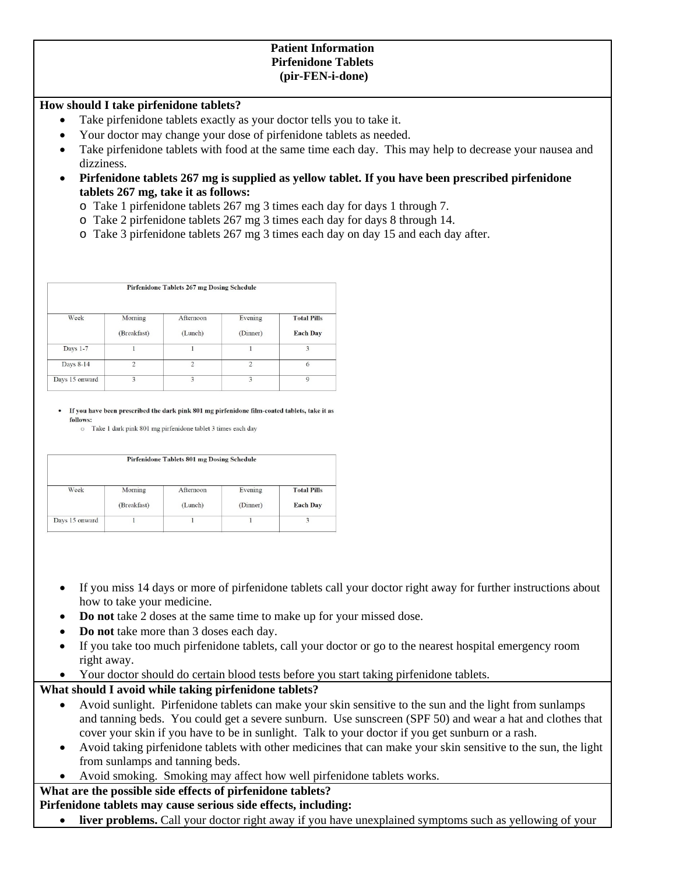### **Patient Information Pirfenidone Tablets (pir-FEN-i-done)**

### **How should I take pirfenidone tablets?**

- Take pirfenidone tablets exactly as your doctor tells you to take it.
- Your doctor may change your dose of pirfenidone tablets as needed.
- Take pirfenidone tablets with food at the same time each day. This may help to decrease your nausea and dizziness.
- **Pirfenidone tablets 267 mg is supplied as yellow tablet. If you have been prescribed pirfenidone tablets 267 mg, take it as follows:**
	- o Take 1 pirfenidone tablets 267 mg 3 times each day for days 1 through 7.
	- o Take 2 pirfenidone tablets 267 mg 3 times each day for days 8 through 14.
	- o Take 3 pirfenidone tablets 267 mg 3 times each day on day 15 and each day after.

| Pirfenidone Tablets 267 mg Dosing Schedule |                        |                      |                         |                                       |
|--------------------------------------------|------------------------|----------------------|-------------------------|---------------------------------------|
| Week                                       | Morning<br>(Breakfast) | Afternoon<br>(Lunch) | Evening<br>(Dinner)     | <b>Total Pills</b><br><b>Each Day</b> |
| Days 1-7                                   |                        |                      |                         | 3                                     |
| Days 8-14                                  | 2                      | $\mathfrak{D}$       | $\mathcal{D}$           | 6                                     |
| Days 15 onward                             | 3                      | 3                    | $\overline{\mathbf{3}}$ | $\circ$                               |

• If you have been prescribed the dark pink 801 mg pirfenidone film-coated tablets, take it as follows:

o Take 1 dark pink 801 mg pirfenidone tablet 3 times each day

| Pirfenidone Tablets 801 mg Dosing Schedule |             |           |          |                    |
|--------------------------------------------|-------------|-----------|----------|--------------------|
| Week                                       | Morning     | Afternoon | Evening  | <b>Total Pills</b> |
|                                            | (Breakfast) | (Lunch)   | (Dinner) | <b>Each Day</b>    |
| Days 15 onward                             |             |           |          |                    |
|                                            |             |           |          |                    |

- If you miss 14 days or more of pirfenidone tablets call your doctor right away for further instructions about how to take your medicine.
- **Do not** take 2 doses at the same time to make up for your missed dose.
- **Do not** take more than 3 doses each day.
- If you take too much pirfenidone tablets, call your doctor or go to the nearest hospital emergency room right away.
- Your doctor should do certain blood tests before you start taking pirfenidone tablets.

### **What should I avoid while taking pirfenidone tablets?**

- Avoid sunlight. Pirfenidone tablets can make your skin sensitive to the sun and the light from sunlamps and tanning beds. You could get a severe sunburn. Use sunscreen (SPF 50) and wear a hat and clothes that cover your skin if you have to be in sunlight. Talk to your doctor if you get sunburn or a rash.
- Avoid taking pirfenidone tablets with other medicines that can make your skin sensitive to the sun, the light from sunlamps and tanning beds.
- Avoid smoking. Smoking may affect how well pirfenidone tablets works.

## **What are the possible side effects of pirfenidone tablets?**

### **Pirfenidone tablets may cause serious side effects, including:**

• **liver problems.** Call your doctor right away if you have unexplained symptoms such as yellowing of your